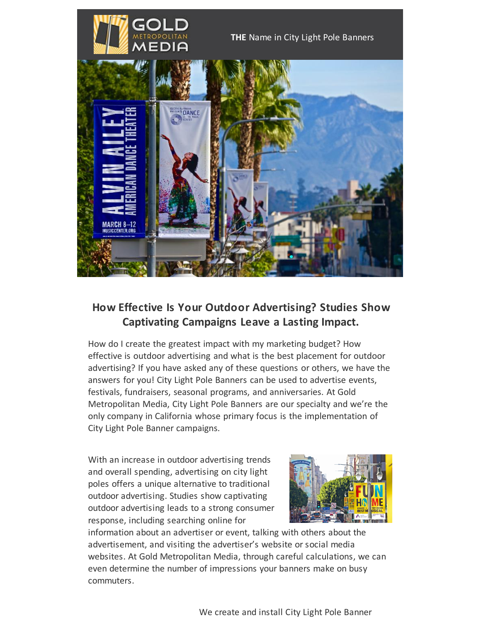

## **How Effective Is Your Outdoor Advertising? Studies Show Captivating Campaigns Leave a Lasting Impact.**

How do I create the greatest impact with my marketing budget? How effective is outdoor advertising and what is the best placement for outdoor advertising? If you have asked any of these questions or others, we have the answers for you! City Light Pole Banners can be used to advertise events, festivals, fundraisers, seasonal programs, and anniversaries. At Gold Metropolitan Media, City Light Pole Banners are our specialty and we're the only company in California whose primary focus is the implementation of City Light Pole Banner campaigns.

With an increase in outdoor advertising trends and overall spending, advertising on city light poles offers a unique alternative to traditional outdoor advertising. Studies show captivating outdoor advertising leads to a strong consumer response, including searching online for



information about an advertiser or event, talking with others about the advertisement, and visiting the advertiser's website or social media websites. At Gold Metropolitan Media, through careful calculations, we can even determine the number of impressions your banners make on busy commuters.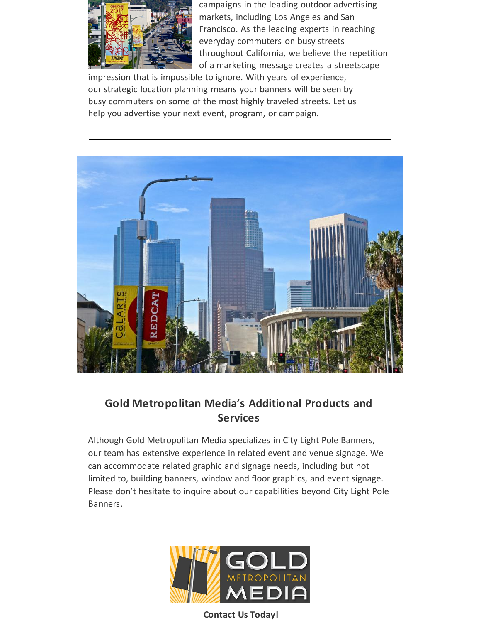

campaigns in the leading outdoor advertising markets, including Los Angeles and San Francisco. As the leading experts in reaching everyday commuters on busy streets throughout California, we believe the repetition of a marketing message creates a streetscape

impression that is impossible to ignore. With years of experience, our strategic location planning means your banners will be seen by busy commuters on some of the most highly traveled streets. Let us help you advertise your next event, program, or campaign.



## **Gold Metropolitan Media's Additional Products and Services**

Although Gold Metropolitan Media specializes in City Light Pole Banners, our team has extensive experience in related event and venue signage. We can accommodate related graphic and signage needs, including but not limited to, building banners, window and floor graphics, and event signage. Please don't hesitate to inquire about our capabilities beyond City Light Pole Banners.



**Contact Us Today!**